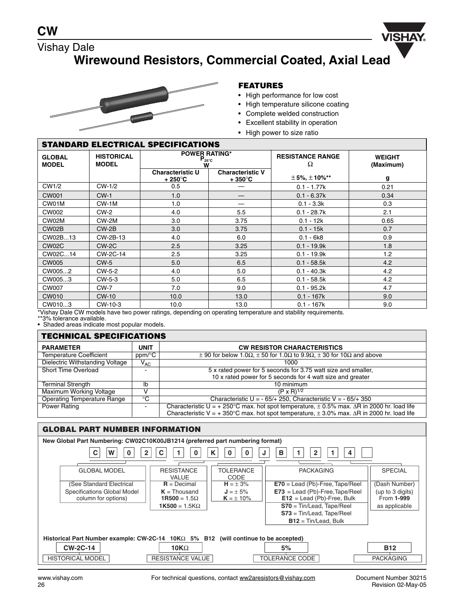

## Vishay Dale **Wirewound Resistors, Commercial Coated, Axial Lead**



### **FEATURES**

- High performance for low cost
- High temperature silicone coating
- Complete welded construction
- Excellent stability in operation
- High power to size ratio

| <b>STANDARD ELECTRICAL SPECIFICATIONS</b> |                                   |                                                |                                             |                              |                            |  |
|-------------------------------------------|-----------------------------------|------------------------------------------------|---------------------------------------------|------------------------------|----------------------------|--|
| <b>GLOBAL</b><br><b>MODEL</b>             | <b>HISTORICAL</b><br><b>MODEL</b> | <b>POWER RATING*</b><br>$P_{25^{\circ}C}$<br>W |                                             | <b>RESISTANCE RANGE</b><br>Ω | <b>WEIGHT</b><br>(Maximum) |  |
|                                           |                                   | <b>Characteristic U</b><br>+ 250°C             | <b>Characteristic V</b><br>$+350^{\circ}$ C | $± 5\%, ± 10\%$ **           | g                          |  |
| CW1/2                                     | CW-1/2                            | 0.5                                            |                                             | $0.1 - 1.77k$                | 0.21                       |  |
| <b>CW001</b>                              | $CW-1$                            | 1.0                                            |                                             | $0.1 - 6.37k$                | 0.34                       |  |
| CW01M                                     | $CW-1M$                           | 1.0                                            |                                             | $0.1 - 3.3k$                 | 0.3                        |  |
| CW002                                     | $CW-2$                            | 4.0                                            | 5.5                                         | $0.1 - 28.7k$                | 2.1                        |  |
| CW02M                                     | CW-2M                             | 3.0                                            | 3.75                                        | $0.1 - 12k$                  | 0.65                       |  |
| CW02B                                     | $CW-2B$                           | 3.0                                            | 3.75                                        | $0.1 - 15k$                  | 0.7                        |  |
| CW02B13                                   | CW-2B-13                          | 4.0                                            | 6.0                                         | $0.1 - 6k8$                  | 0.9                        |  |
| CW02C                                     | $CW-2C$                           | 2.5                                            | 3.25                                        | $0.1 - 19.9k$                | 1.8                        |  |
| CW02C14                                   | CW-2C-14                          | 2.5                                            | 3.25                                        | $0.1 - 19.9k$                | 1.2                        |  |
| <b>CW005</b>                              | $CW-5$                            | 5.0                                            | 6.5                                         | $0.1 - 58.5k$                | 4.2                        |  |
| CW0052                                    | CW-5-2                            | 4.0                                            | 5.0                                         | $0.1 - 40.3k$                | 4.2                        |  |
| CW0053                                    | CW-5-3                            | 5.0                                            | 6.5                                         | $0.1 - 58.5k$                | 4.2                        |  |
| <b>CW007</b>                              | <b>CW-7</b>                       | 7.0                                            | 9.0                                         | $0.1 - 95.2k$                | 4.7                        |  |
| CW010                                     | <b>CW-10</b>                      | 10.0                                           | 13.0                                        | $0.1 - 167k$                 | 9.0                        |  |
| CW0103                                    | CW-10-3                           | 10.0                                           | 13.0                                        | $0.1 - 167k$                 | 9.0                        |  |

\*Vishay Dale CW models have two power ratings, depending on operating temperature and stability requirements. \*\*3% tolerance available.

• Shaded areas indicate most popular models.

| <b>TECHNICAL SPECIFICATIONS</b>        |             |                                                                                                                  |  |
|----------------------------------------|-------------|------------------------------------------------------------------------------------------------------------------|--|
| <b>PARAMETER</b>                       | <b>UNIT</b> | <b>CW RESISTOR CHARACTERISTICS</b>                                                                               |  |
| <b>Temperature Coefficient</b>         | ppm/°C      | $\pm$ 90 for below 1.0 $\Omega$ , $\pm$ 50 for 1.0 $\Omega$ to 9.9 $\Omega$ , $\pm$ 30 for 10 $\Omega$ and above |  |
| <b>Dielectric Withstanding Voltage</b> | $V_{AC}$    | 1000                                                                                                             |  |
| Short Time Overload                    |             | 5 x rated power for 5 seconds for 3.75 watt size and smaller,                                                    |  |
|                                        |             | 10 x rated power for 5 seconds for 4 watt size and greater                                                       |  |
| <b>Terminal Strength</b>               | lb          | 10 minimum                                                                                                       |  |
| Maximum Working Voltage                |             | $(P \times R)^{1/2}$                                                                                             |  |
| <b>Operating Temperature Range</b>     | °C          | Characteristic U = $-65/+250$ , Characteristic V = $-65/+350$                                                    |  |
| Power Rating                           | $\sim$      | Characteristic U = + 250°C max. hot spot temperature, $\pm$ 0.5% max. $\Delta$ R in 2000 hr. load life           |  |
|                                        |             | Characteristic V = + 350°C max. hot spot temperature, $\pm$ 3.0% max. $\Delta$ R in 2000 hr. load life           |  |

### **GLOBAL PART NUMBER INFORMATION**

| New Global Part Numbering: CW02C10K00JB1214 (preferred part numbering format)                 |                                   |                          |                                   |                  |  |
|-----------------------------------------------------------------------------------------------|-----------------------------------|--------------------------|-----------------------------------|------------------|--|
| W<br>С<br>2<br>в<br>4<br>0<br>0<br>0                                                          |                                   |                          |                                   |                  |  |
|                                                                                               |                                   |                          |                                   |                  |  |
| <b>GLOBAL MODEL</b>                                                                           | <b>RESISTANCE</b><br><b>VALUE</b> | <b>TOLERANCE</b><br>CODE | <b>PACKAGING</b>                  | <b>SPECIAL</b>   |  |
| (See Standard Electrical                                                                      | $R = Decimal$                     | $H = \pm 3\%$            | $E70 =$ Lead (Pb)-Free, Tape/Reel | (Dash Number)    |  |
| Specifications Global Model                                                                   | $K = Thousand$                    | $J = \pm 5\%$            | $E73 =$ Lead (Pb)-Free, Tape/Reel | (up to 3 digits) |  |
| column for options)                                                                           | $1R500 = 1.5\Omega$               | $K = \pm 10\%$           | $E12 =$ Lead (Pb)-Free, Bulk      | From 1-999       |  |
|                                                                                               | $1K500 = 1.5K\Omega$              |                          | $S70 = Tin/lead$ , Tape/Reel      | as applicable    |  |
|                                                                                               |                                   |                          | $S73 = Tin/lead$ , Tape/Reel      |                  |  |
|                                                                                               |                                   |                          | $B12 = Tin/lead, Bulk$            |                  |  |
|                                                                                               |                                   |                          |                                   |                  |  |
| Historical Part Number example: $CW-2C-14$ 10K $\Omega$ 5% B12 (will continue to be accepted) |                                   |                          |                                   |                  |  |
| <b>CW-2C-14</b><br>5%<br><b>B12</b><br>10K $\Omega$                                           |                                   |                          |                                   |                  |  |
| <b>HISTORICAL MODEL</b>                                                                       | <b>RESISTANCE VALUE</b>           |                          | <b>TOLERANCE CODE</b>             | <b>PACKAGING</b> |  |